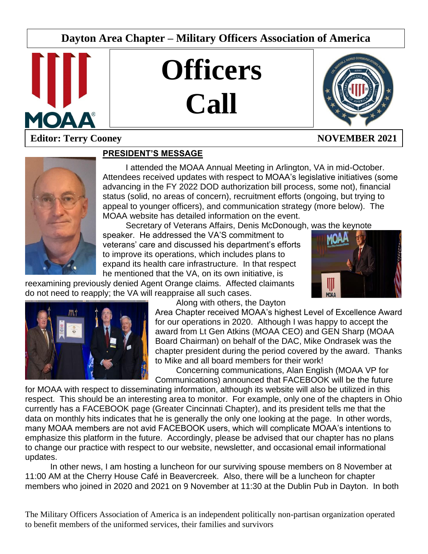# **Dayton Area Chapter – Military Officers Association of America**



# **Officers Call**



# **Editor: Terry Cooney NOVEMBER 2021**



# **PRESIDENT'S MESSAGE**

I attended the MOAA Annual Meeting in Arlington, VA in mid-October. Attendees received updates with respect to MOAA's legislative initiatives (some advancing in the FY 2022 DOD authorization bill process, some not), financial status (solid, no areas of concern), recruitment efforts (ongoing, but trying to appeal to younger officers), and communication strategy (more below). The MOAA website has detailed information on the event.

L

Secretary of Veterans Affairs, Denis McDonough, was the keynote

speaker. He addressed the VA'S commitment to veterans' care and discussed his department's efforts to improve its operations, which includes plans to expand its health care infrastructure. In that respect he mentioned that the VA, on its own initiative, is

reexamining previously denied Agent Orange claims. Affected claimants do not need to reapply; the VA will reappraise all such cases.





Along with others, the Dayton

Area Chapter received MOAA's highest Level of Excellence Award for our operations in 2020. Although I was happy to accept the award from Lt Gen Atkins (MOAA CEO) and GEN Sharp (MOAA Board Chairman) on behalf of the DAC, Mike Ondrasek was the chapter president during the period covered by the award. Thanks to Mike and all board members for their work!

Concerning communications, Alan English (MOAA VP for Communications) announced that FACEBOOK will be the future

for MOAA with respect to disseminating information, although its website will also be utilized in this respect. This should be an interesting area to monitor. For example, only one of the chapters in Ohio currently has a FACEBOOK page (Greater Cincinnati Chapter), and its president tells me that the data on monthly hits indicates that he is generally the only one looking at the page. In other words, many MOAA members are not avid FACEBOOK users, which will complicate MOAA's intentions to emphasize this platform in the future. Accordingly, please be advised that our chapter has no plans to change our practice with respect to our website, newsletter, and occasional email informational updates.

In other news, I am hosting a luncheon for our surviving spouse members on 8 November at 11:00 AM at the Cherry House Café in Beavercreek. Also, there will be a luncheon for chapter members who joined in 2020 and 2021 on 9 November at 11:30 at the Dublin Pub in Dayton. In both

The Military Officers Association of America is an independent politically non-partisan organization operated to benefit members of the uniformed services, their families and survivors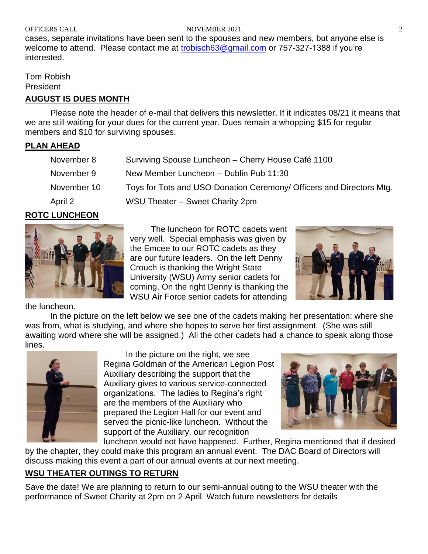#### OFFICERS CALL **NOVEMBER 2021** 2

cases, separate invitations have been sent to the spouses and new members, but anyone else is welcome to attend. Please contact me at [trobisch63@gmail.com](mailto:trobisch63@gmail.com) or 757-327-1388 if you're interested.

Tom Robish President

# **AUGUST IS DUES MONTH**

Please note the header of e-mail that delivers this newsletter. If it indicates 08/21 it means that we are still waiting for your dues for the current year. Dues remain a whopping \$15 for regular members and \$10 for surviving spouses.

# **PLAN AHEAD**

| November 8  | Surviving Spouse Luncheon - Cherry House Café 1100                   |
|-------------|----------------------------------------------------------------------|
| November 9  | New Member Luncheon - Dublin Pub 11:30                               |
| November 10 | Toys for Tots and USO Donation Ceremony/ Officers and Directors Mtg. |
| April 2     | WSU Theater - Sweet Charity 2pm                                      |

## **ROTC LUNCHEON**



the luncheon.

The luncheon for ROTC cadets went very well. Special emphasis was given by the Emcee to our ROTC cadets as they are our future leaders. On the left Denny Crouch is thanking the Wright State University (WSU) Army senior cadets for coming. On the right Denny is thanking the WSU Air Force senior cadets for attending



In the picture on the left below we see one of the cadets making her presentation: where she was from, what is studying, and where she hopes to serve her first assignment. (She was still awaiting word where she will be assigned.) All the other cadets had a chance to speak along those lines.



In the picture on the right, we see Regina Goldman of the American Legion Post Auxiliary describing the support that the Auxiliary gives to various service-connected organizations. The ladies to Regina's right are the members of the Auxiliary who prepared the Legion Hall for our event and served the picnic-like luncheon. Without the support of the Auxiliary, our recognition



luncheon would not have happened. Further, Regina mentioned that if desired by the chapter, they could make this program an annual event. The DAC Board of Directors will discuss making this event a part of our annual events at our next meeting.

# **WSU THEATER OUTINGS TO RETURN**

Save the date! We are planning to return to our semi-annual outing to the WSU theater with the performance of Sweet Charity at 2pm on 2 April. Watch future newsletters for details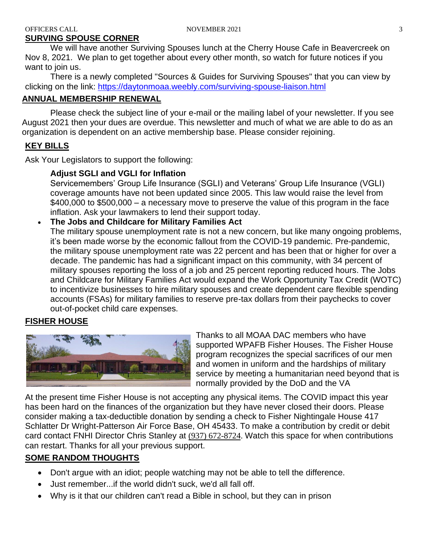# **SURVING SPOUSE CORNER**

We will have another Surviving Spouses lunch at the Cherry House Cafe in Beavercreek on Nov 8, 2021. We plan to get together about every other month, so watch for future notices if you want to join us.

There is a newly completed "Sources & Guides for Surviving Spouses" that you can view by clicking on the link:<https://daytonmoaa.weebly.com/surviving-spouse-liaison.html>

# **ANNUAL MEMBERSHIP RENEWAL**

Please check the subject line of your e-mail or the mailing label of your newsletter. If you see August 2021 then your dues are overdue. This newsletter and much of what we are able to do as an organization is dependent on an active membership base. Please consider rejoining.

# **KEY BILLS**

Ask Your Legislators to support the following:

## **Adjust SGLI and VGLI for Inflation**

Servicemembers' Group Life Insurance (SGLI) and Veterans' Group Life Insurance (VGLI) coverage amounts have not been updated since 2005. This law would raise the level from \$400,000 to \$500,000 – a necessary move to preserve the value of this program in the face inflation. Ask your lawmakers to lend their support today.

# • **The Jobs and Childcare for Military Families Act**

The military spouse unemployment rate is not a new concern, but like many ongoing problems, it's been made worse by the economic fallout from the COVID-19 pandemic. Pre-pandemic, the military spouse unemployment rate was 22 percent and has been that or higher for over a decade. The pandemic has had a significant impact on this community, with 34 percent of military spouses reporting the loss of a job and 25 percent reporting reduced hours. The Jobs and Childcare for Military Families Act would expand the Work Opportunity Tax Credit (WOTC) to incentivize businesses to hire military spouses and create dependent care flexible spending accounts (FSAs) for military families to reserve pre-tax dollars from their paychecks to cover out-of-pocket child care expenses.

# **FISHER HOUSE**



Thanks to all MOAA DAC members who have supported WPAFB Fisher Houses. The Fisher House program recognizes the special sacrifices of our men and women in uniform and the hardships of military service by meeting a humanitarian need beyond that is normally provided by the DoD and the VA

At the present time Fisher House is not accepting any physical items. The COVID impact this year has been hard on the finances of the organization but they have never closed their doors. Please consider making a tax-deductible donation by sending a check to Fisher Nightingale House 417 Schlatter Dr Wright-Patterson Air Force Base, OH 45433. To make a contribution by credit or debit card contact FNHI Director Chris Stanley at [\(937\) 672-8724.](tel:(937)672-8724) Watch this space for when contributions can restart. Thanks for all your previous support.

# **SOME RANDOM THOUGHTS**

- Don't argue with an idiot; people watching may not be able to tell the difference.
- Just remember...if the world didn't suck, we'd all fall off.
- Why is it that our children can't read a Bible in school, but they can in prison